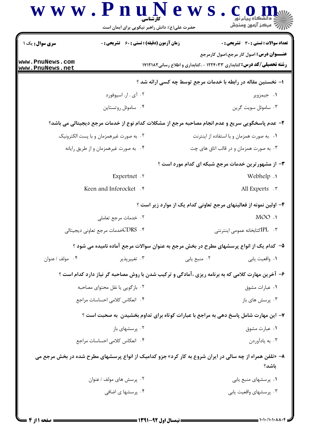## www.PnuNews.com ے ہے۔<br>اس اسرائی اسمبر وسنجش حضرت علی(ع): دانش راهبر نیکویی برای ایمان است **سری سوال:** یک ۱ **تعداد سوالات : تستي : 30 ٪ تشريحي : 0 زمان آزمون (دقیقه) : تستی : 60 ٪ تشریحی : 0 عنـــوان درس:** اصول کار مرجع،اصول کارمرجع www.PnuNews.com **رشته تحصیلی/کد درس:** کتابداری ۱۲۲۴۰۳۳ - ،کتابداری و اطلاع رسانی۱۷۱۲۱۸۲ www.PnuNews.net ا– نخستین مقاله در رابطه با خدمات مرجع توسط چه کسی ارائه شد ؟ ۰۱ جیمزویر ۰۲ آی . ار. اسپوفورد ۰۴ ساموئل روتستاین ۰۳ ساموئل سویت گرین ٢- عدم ياسخگويي سريع و عدم انجام مصاحبه مرجع از مشكلات كدام نوع از خدمات مرجع ديجيتالي مي باشد؟ ۰۱ به صورت همزمان و با استفاده از اینترنت ۰۲ به صورت غیرهمزمان و با پست الکترونیک ۰۴ به صورت غیرهمزمان و از طریق رایانه ۰۳ به صورت همزمان و در قالب اتاق های چت **۳**- از مشهورترین خدمات مرجع شبکه ای کدام مورد است ؟ Expertnet . Webhelp . Keen and Inforocket. All Experts  $\cdot$   $\cdot$ ۴– اولین نمونه از فعالیتهای مرجع تعاونی کدام یک از موارد زیر است ؟ MOO . ۰۲ خدمات مرجع تعاملي ۰۴ . CDRSخدمات مرجع تعاوني ديجيتالي ۰۳ . IPLکتابخانه عمومی اینترنتی ۵– کدام یک از انواع پرسشهای مطرح در بخش مرجع به عنوان سوالات مرجع آماده نامیده می شود ؟ ۰۴ مولف / عنوان ۰۳ تغییرپذیر ۰۲ منبع یابی ٠١. واقعيت يابي ۶- آخرین مهارت کلامی که به برنامه ریزی ،آمادگی و ترکیب شدن با روش مصاحبه گر نیاز دارد کدام است ؟ ۲. بازگویی با نقل محتوای مصاحبه ٠١. عبارات مشوق ۰۴ انعکاس کلامی احساسات مراجع ۰۳ پرسش های باز ۷– این مهارت شامل پاسخ دهی به مراجع با عبارات کوتاه برای تداوم بخشیدن ٍ به صحبت است ؟ ۰۲ پرسشهای باز ۰۱ عبارت مشوق ۰۴ انعکاس کلامی احساسات مراجع ۰۳ به یادآوردن ۸- «تلفن همراه از چه سالی در ایران شروع به کار کرد» جزو کدامیک از انواع پرسشهای مطرح شده در بخش مرجع می ىاشد؟ ۰۲ پرسش های مولف / عنوان ۰۱ پرسشهای منبع یابی ۰۴ پرسشها ی اضافی ۰۳ پرسشهای واقعیت پاہے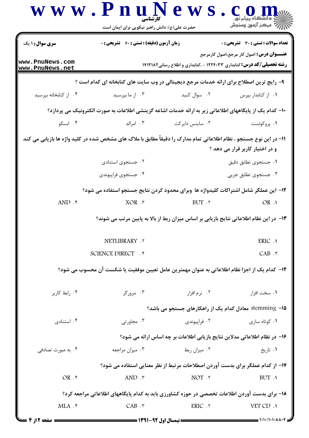|                                                                                                                                                        | www.PnuNews<br>حضرت علی(ع): دانش راهبر نیکویی برای ایمان است                                           |                                                                                         | COI<br>أأزام مركز آزمون وسنجش                                                                  |  |  |
|--------------------------------------------------------------------------------------------------------------------------------------------------------|--------------------------------------------------------------------------------------------------------|-----------------------------------------------------------------------------------------|------------------------------------------------------------------------------------------------|--|--|
| <b>سری سوال : ۱ یک</b>                                                                                                                                 | <b>زمان آزمون (دقیقه) : تستی : 60 ٪ تشریحی : 0</b>                                                     |                                                                                         | تعداد سوالات : تستى : 30 - تشريحي : 0<br><del>عنــــو</del> ان درس: اصول کار مرجع،اصول کارمرجع |  |  |
| www.PnuNews.com<br>www.PnuNews.net                                                                                                                     |                                                                                                        | <b>رشته تحصیلی/کد درس:</b> کتابداری ۱۲۲۴۰۳۳ - ،کتابداری و اطلاع رسانی۱۷۱۲۱۸۲            |                                                                                                |  |  |
|                                                                                                                                                        | ۹- رایج ترین اصطلاح برای ارائه خدمات مرجع دیجیتالی در وب سایت های کتابخانه ای کدام است ؟               |                                                                                         |                                                                                                |  |  |
| ۰۴ از کتابخانه بپرسید                                                                                                                                  | ۰۳ از ما بپرسید                                                                                        | ۰۲ سوال کنید                                                                            | ٠١. از كتابدار بپرس                                                                            |  |  |
|                                                                                                                                                        | ∙ا− کدام یک از پایگاههای اطلاعاتی زیر به ارائه خدمات اشاعه گزینشی اطلاعات به صورت الکترونیک می پردازد؟ |                                                                                         |                                                                                                |  |  |
| ۰۴ ابسکو                                                                                                                                               | ۰۲ ساینس دایرکت سیست ۲۰۰ امرالد                                                                        |                                                                                         | ۰۱ پروکوئست                                                                                    |  |  |
| 11– در این نوع جستجو ، نظام اطلاعاتی تمام مدارک را دقیقاً مطابق با ملاک های مشخص شده در کلید واژه ها بازیابی می کند<br>و در اختیار کاربر قرار می دهد ؟ |                                                                                                        |                                                                                         |                                                                                                |  |  |
|                                                                                                                                                        | ۰۲ جستجوی استنادی                                                                                      |                                                                                         | ٠١ جستجوى تطابق دقيق                                                                           |  |  |
|                                                                                                                                                        | ۰۴ جستجوي فراپيوندي                                                                                    |                                                                                         | ۰۳ جستجوی تطابق جزیی                                                                           |  |  |
|                                                                                                                                                        | ۱۲– این عملگر شامل اشتراکات کلیدواژه ها وبرای محدود کردن نتایج جستجو استفاده می شود؟                   |                                                                                         |                                                                                                |  |  |
| $AND .$ ۴                                                                                                                                              |                                                                                                        | $XOR \tF$ BUT $\cdot$                                                                   | OR.1                                                                                           |  |  |
|                                                                                                                                                        |                                                                                                        | ۱۳– در این نظام اطلاعاتی نتایج بازیابی بر اساس میزان ربط از بالا به پایین مرتب می شوند؟ |                                                                                                |  |  |
|                                                                                                                                                        | NETLIBRARY .Y                                                                                          |                                                                                         | ERIC .1                                                                                        |  |  |
|                                                                                                                                                        | SCIENCE DIRECT F                                                                                       |                                                                                         | $CAB \cdot r$                                                                                  |  |  |
|                                                                                                                                                        | ۱۴−  کدام یک از اجزا نظام اطلاعاتی به عنوان مهمترین عامل تعیین موفقیت یا شکست آن محسوب می شود؟         |                                                                                         |                                                                                                |  |  |
| ۰۴ رابط کاربر                                                                                                                                          | ۰۳ مرورگر                                                                                              | ۰۲ نرم افزار                                                                            | ۰۱ سخت افزار                                                                                   |  |  |
|                                                                                                                                                        |                                                                                                        | stemming –۱۵ معادل کدام یک از راهکارهای جستجو می باشد؟                                  |                                                                                                |  |  |
| ۰۴ استنادی                                                                                                                                             | ۰۳ مجاورتی                                                                                             | ۰۲ فراپیوندی                                                                            | ٠١ كوتاه سازى                                                                                  |  |  |
|                                                                                                                                                        |                                                                                                        | ۱۶– در نظام اطلاعاتی مدلاین نتایج بازیابی اطلاعات بر چه اساس ارائه می شود؟              |                                                                                                |  |  |
| ۰۴ به صورت تصادفی                                                                                                                                      | ۰۳ میزان مراجعه                                                                                        | ۰۲ میزان ربط                                                                            | ۰۱ تاریخ                                                                                       |  |  |
|                                                                                                                                                        |                                                                                                        | ۱۷- از کدام عملگر برای بدست آوردن اصطلاحات مرتبط از نظر معنایی استفاده می شود؟          |                                                                                                |  |  |
| OR.f                                                                                                                                                   | AND $.7$                                                                                               | NOT .٢                                                                                  | BUT.1                                                                                          |  |  |
|                                                                                                                                                        | ۱۸– برای بدست آوردن اطلاعات تخصصی در حوزه کشاورزی باید به کدام پایگاههای اطلاعاتی مراجعه کرد؟          |                                                                                         |                                                                                                |  |  |
| $MLA$ .۴                                                                                                                                               | CAB . <b>r</b>                                                                                         | ERIC .٢                                                                                 | VET CD .1                                                                                      |  |  |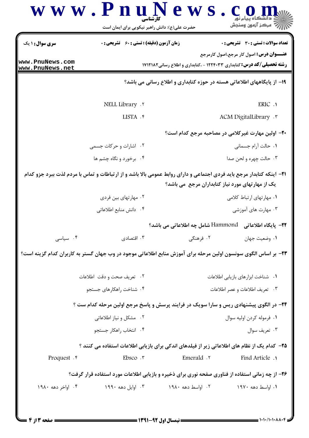| <b>سری سوال :</b> ۱ یک             | <b>زمان آزمون (دقیقه) : تستی : 60 ٪ تشریحی : 0</b>                                                                            |                                                                              | تعداد سوالات : تستى : 30 ٪ تشريحي : 0             |
|------------------------------------|-------------------------------------------------------------------------------------------------------------------------------|------------------------------------------------------------------------------|---------------------------------------------------|
| www.PnuNews.com<br>www.PnuNews.net |                                                                                                                               | <b>رشته تحصیلی/کد درس:</b> کتابداری ۱۲۲۴۰۳۳ - ،کتابداری و اطلاع رسانی۱۷۱۲۱۸۲ | <b>عنـــوان درس:</b> اصول کار مرجع،اصول کارمرجع   |
|                                    |                                                                                                                               | ۱۹– از پایگاههای اطلاعاتی هسته در حوزه کتابداری و اطلاع رسانی می باشد؟       |                                                   |
|                                    | NELL Library . ٢                                                                                                              |                                                                              | ERIC .1                                           |
|                                    | LISTA . ۴                                                                                                                     |                                                                              | ACM DigitalLibrary .                              |
|                                    |                                                                                                                               |                                                                              | ۲۰– اولین مهارت غیرکلامی در مصاحبه مرجع کدام است؟ |
|                                    | ۰۲ اشارات و حرکات جسمی                                                                                                        |                                                                              | ٠١. حالت آرام جسماني                              |
|                                    | ۰۴ برخورد و نگاه چشم ها                                                                                                       |                                                                              | ۰۳ حالت چهره و لحن صدا                            |
|                                    | <b>۲۱</b> - اینکه کتابدار مرجع باید فردی اجتماعی و دارای روابط عمومی بالا باشد و از ارتباطات و تماس با مردم لذت ببرد جزو کدام | یک از مهارتهای مورد نیاز کتابداران مرجع ً می باشد؟                           |                                                   |
|                                    | ۰۲ مهارتهای بین فردی                                                                                                          |                                                                              | ۰۱ مهارتهای ارتباط کلامی                          |
|                                    | ۰۴ دانش منابع اطلاعاتی                                                                                                        |                                                                              | ۰۳ مهارت های آموزشی                               |
|                                    |                                                                                                                               | <del>۲</del> ۲- پایگاه اطلاعاتی   Hammond شامل چه اطلاعاتی می باشد؟          |                                                   |
| ۰۴ سیاسی                           | ۰۳ اقتصادی                                                                                                                    | ۰۲ فرهنگی                                                                    | ۰۱ وضعیت جهان                                     |
|                                    | ۲۳– بر اساس الگوی سونسون اولین مرحله برای آموزش منابع اطلاعاتی موجود در وب جهان گستر به کاربران کدام گزینه است؟               |                                                                              |                                                   |
|                                    | ۰۲ تعریف صحت و دقت اطلاعات                                                                                                    | ٠١ شناخت ابزارهاى بازيابي اطلاعات                                            |                                                   |
|                                    | ۰۴ شناخت راهکارهای جستجو                                                                                                      |                                                                              | ۰۳ تعریف اطلاعات و عصر اطلاعات                    |
|                                    | ۲۴- در الگوی پیشنهادی ریس و سارا سویک در فرایند پرسش و پاسخ مرجع اولین مرحله کدام ست ؟                                        |                                                                              |                                                   |
|                                    | ۰۲ مشکل و نیاز اطلاعاتی                                                                                                       | ٠١. فرموله كردن اوليه سوال                                                   |                                                   |
|                                    | ۰۴ انتخاب راهکار جستجو                                                                                                        |                                                                              | ۰۳ تعريف سوال                                     |
|                                    | ۲۵– کدام یک از نظام های اطلاعاتی زیر از فیلدهای اندکی برای بازیابی اطلاعات استفاده می کنند ؟                                  |                                                                              |                                                   |
| Proquest . e                       | Ebsco.7                                                                                                                       | Emerald . ٢                                                                  | <b>Find Article</b> .                             |
|                                    |                                                                                                                               |                                                                              |                                                   |
|                                    | ۲۶- از چه زمانی استفاده از فناوری صفحه نوری برای ذخیره و بازیابی اطلاعات مورد استفاده قرار گرفت؟                              |                                                                              |                                                   |